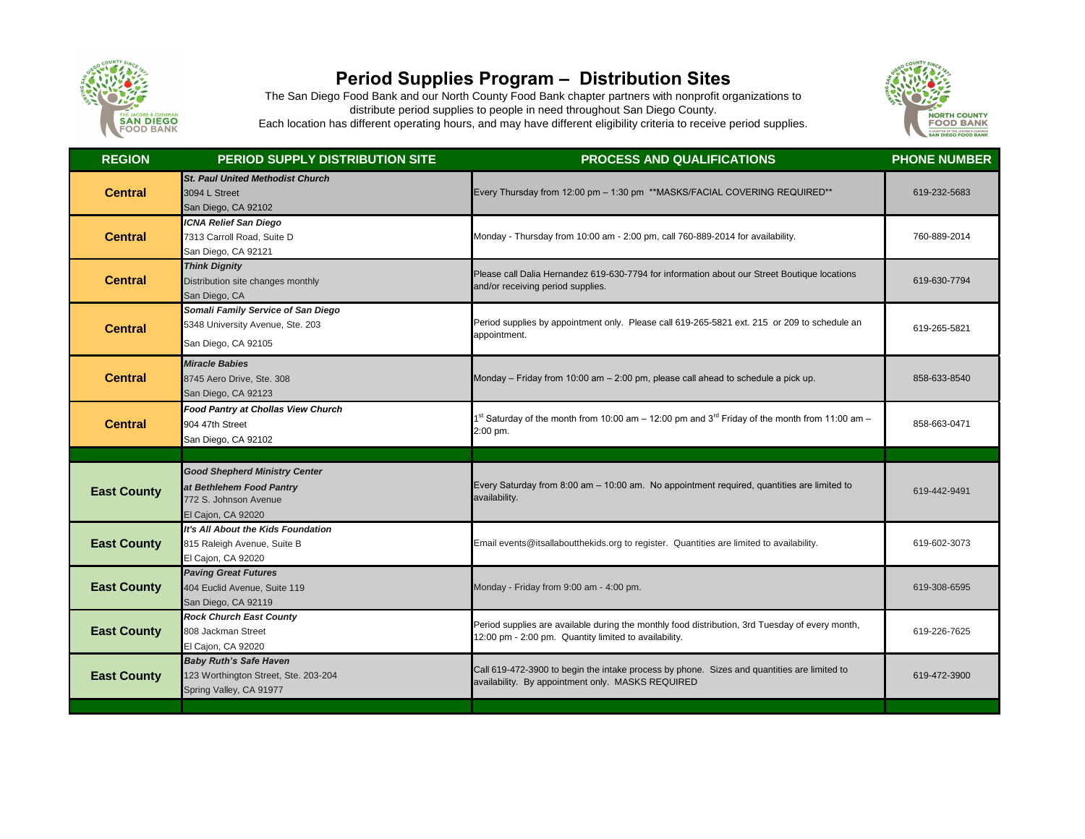

## **Period Supplies Program – Distribution Sites**

The San Diego Food Bank and our North County Food Bank chapter partners with nonprofit organizations to distribute period supplies to people in need throughout San Diego County. Each location has different operating hours, and may have different eligibility criteria to receive period supplies.



| <b>REGION</b>      | <b>PERIOD SUPPLY DISTRIBUTION SITE</b>                                                                          | <b>PROCESS AND QUALIFICATIONS</b>                                                                                                                        | <b>PHONE NUMBER</b> |
|--------------------|-----------------------------------------------------------------------------------------------------------------|----------------------------------------------------------------------------------------------------------------------------------------------------------|---------------------|
| <b>Central</b>     | <b>St. Paul United Methodist Church</b><br>3094 L Street<br>San Diego, CA 92102                                 | Every Thursday from 12:00 pm - 1:30 pm **MASKS/FACIAL COVERING REQUIRED**                                                                                | 619-232-5683        |
| <b>Central</b>     | <b>ICNA Relief San Diego</b><br>7313 Carroll Road, Suite D<br>San Diego, CA 92121                               | Monday - Thursday from 10:00 am - 2:00 pm, call 760-889-2014 for availability.                                                                           | 760-889-2014        |
| <b>Central</b>     | <b>Think Dignity</b><br>Distribution site changes monthly<br>San Diego, CA                                      | Please call Dalia Hernandez 619-630-7794 for information about our Street Boutique locations<br>and/or receiving period supplies.                        | 619-630-7794        |
| <b>Central</b>     | Somali Family Service of San Diego<br>5348 University Avenue, Ste. 203<br>San Diego, CA 92105                   | Period supplies by appointment only. Please call 619-265-5821 ext. 215 or 209 to schedule an<br>appointment.                                             | 619-265-5821        |
| <b>Central</b>     | <b>Miracle Babies</b><br>8745 Aero Drive, Ste. 308<br>San Diego, CA 92123                                       | Monday – Friday from 10:00 am – 2:00 pm, please call ahead to schedule a pick up.                                                                        | 858-633-8540        |
| <b>Central</b>     | <b>Food Pantry at Chollas View Church</b><br>904 47th Street<br>San Diego, CA 92102                             | <sup>st</sup> Saturday of the month from 10:00 am – 12:00 pm and 3 <sup>rd</sup> Friday of the month from 11:00 am –<br>2:00 pm.                         | 858-663-0471        |
|                    |                                                                                                                 |                                                                                                                                                          |                     |
| <b>East County</b> | <b>Good Shepherd Ministry Center</b><br>at Bethlehem Food Pantry<br>772 S. Johnson Avenue<br>El Cajon, CA 92020 | Every Saturday from 8:00 am - 10:00 am. No appointment required, quantities are limited to<br>availability.                                              | 619-442-9491        |
| <b>East County</b> | It's All About the Kids Foundation<br>815 Raleigh Avenue, Suite B<br>El Cajon, CA 92020                         | Email events@itsallaboutthekids.org to register. Quantities are limited to availability.                                                                 | 619-602-3073        |
| <b>East County</b> | <b>Paving Great Futures</b><br>404 Euclid Avenue, Suite 119<br>San Diego, CA 92119                              | Monday - Friday from 9:00 am - 4:00 pm.                                                                                                                  | 619-308-6595        |
| <b>East County</b> | <b>Rock Church East County</b><br>808 Jackman Street<br>El Cajon, CA 92020                                      | Period supplies are available during the monthly food distribution, 3rd Tuesday of every month,<br>12:00 pm - 2:00 pm. Quantity limited to availability. | 619-226-7625        |
| <b>East County</b> | <b>Baby Ruth's Safe Haven</b><br>123 Worthington Street, Ste. 203-204<br>Spring Valley, CA 91977                | Call 619-472-3900 to begin the intake process by phone. Sizes and quantities are limited to<br>availability. By appointment only. MASKS REQUIRED         | 619-472-3900        |
|                    |                                                                                                                 |                                                                                                                                                          |                     |